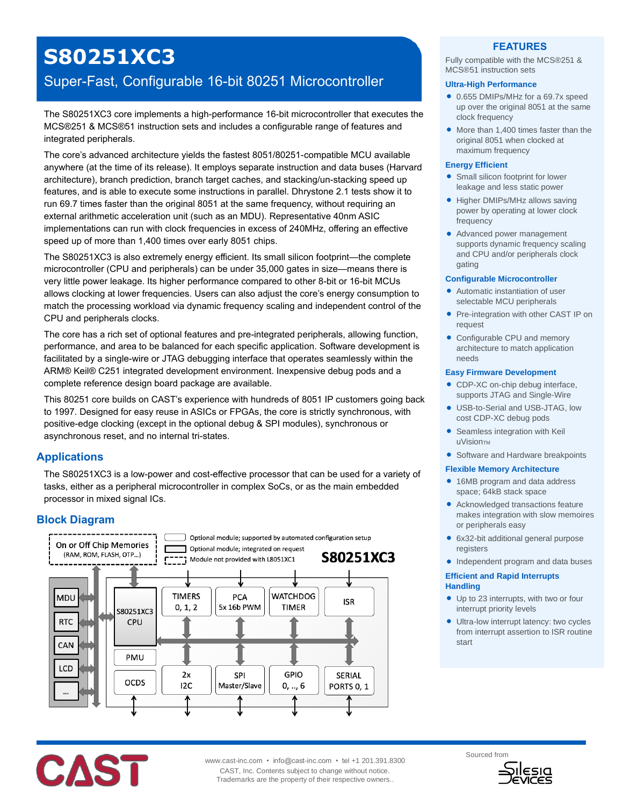# **S80251XC3**

## Super-Fast, Configurable 16-bit 80251 Microcontroller

The S80251XC3 core implements a high-performance 16-bit microcontroller that executes the MCS®251 & MCS®51 instruction sets and includes a configurable range of features and integrated peripherals.

The core's advanced architecture yields the fastest 8051/80251-compatible MCU available anywhere (at the time of its release). It employs separate instruction and data buses (Harvard architecture), branch prediction, branch target caches, and stacking/un-stacking speed up features, and is able to execute some instructions in parallel. Dhrystone 2.1 tests show it to run 69.7 times faster than the original 8051 at the same frequency, without requiring an external arithmetic acceleration unit (such as an MDU). Representative 40nm ASIC implementations can run with clock frequencies in excess of 240MHz, offering an effective speed up of more than 1,400 times over early 8051 chips.

The S80251XC3 is also extremely energy efficient. Its small silicon footprint—the complete microcontroller (CPU and peripherals) can be under 35,000 gates in size—means there is very little power leakage. Its higher performance compared to other 8-bit or 16-bit MCUs allows clocking at lower frequencies. Users can also adjust the core's energy consumption to match the processing workload via dynamic frequency scaling and independent control of the CPU and peripherals clocks.

The core has a rich set of optional features and pre-integrated peripherals, allowing function, performance, and area to be balanced for each specific application. Software development is facilitated by a single-wire or JTAG debugging interface that operates seamlessly within the ARM® Keil® C251 integrated development environment. Inexpensive debug pods and a complete reference design board package are available.

This 80251 core builds on CAST's experience with hundreds of 8051 IP customers going back to 1997. Designed for easy reuse in ASICs or FPGAs, the core is strictly synchronous, with positive-edge clocking (except in the optional debug & SPI modules), synchronous or asynchronous reset, and no internal tri-states.

## **Applications**

The S80251XC3 is a low-power and cost-effective processor that can be used for a variety of tasks, either as a peripheral microcontroller in complex SoCs, or as the main embedded processor in mixed signal ICs.

## **Block Diagram**



## **FEATURES**

Fully compatible with the MCS®251 & MCS®51 instruction sets

#### **Ultra-High Performance**

- 0.655 DMIPs/MHz for a 69.7x speed up over the original 8051 at the same clock frequency
- More than 1,400 times faster than the original 8051 when clocked at maximum frequency

#### **Energy Efficient**

- **•** Small silicon footprint for lower leakage and less static power
- Higher DMIPs/MHz allows saving power by operating at lower clock frequency
- Advanced power management supports dynamic frequency scaling and CPU and/or peripherals clock gating

#### **Configurable Microcontroller**

- Automatic instantiation of user selectable MCU peripherals
- Pre-integration with other CAST IP on request
- Configurable CPU and memory architecture to match application needs

#### **Easy Firmware Development**

- CDP-XC on-chip debug interface. supports JTAG and Single-Wire
- USB-to-Serial and USB-JTAG, low cost CDP-XC debug pods
- **Seamless integration with Keil** UVisionTM
- Software and Hardware breakpoints

#### **Flexible Memory Architecture**

- 16MB program and data address space; 64kB stack space
- Acknowledged transactions feature makes integration with slow memoires or peripherals easy
- 6x32-bit additional general purpose registers
- Independent program and data buses

#### **Efficient and Rapid Interrupts Handling**

- Up to 23 interrupts, with two or four interrupt priority levels
- **•** Ultra-low interrupt latency: two cycles from interrupt assertion to ISR routine start



CAST, Inc. Contents subject to change without notice. Trademarks are the property of their respective owners..